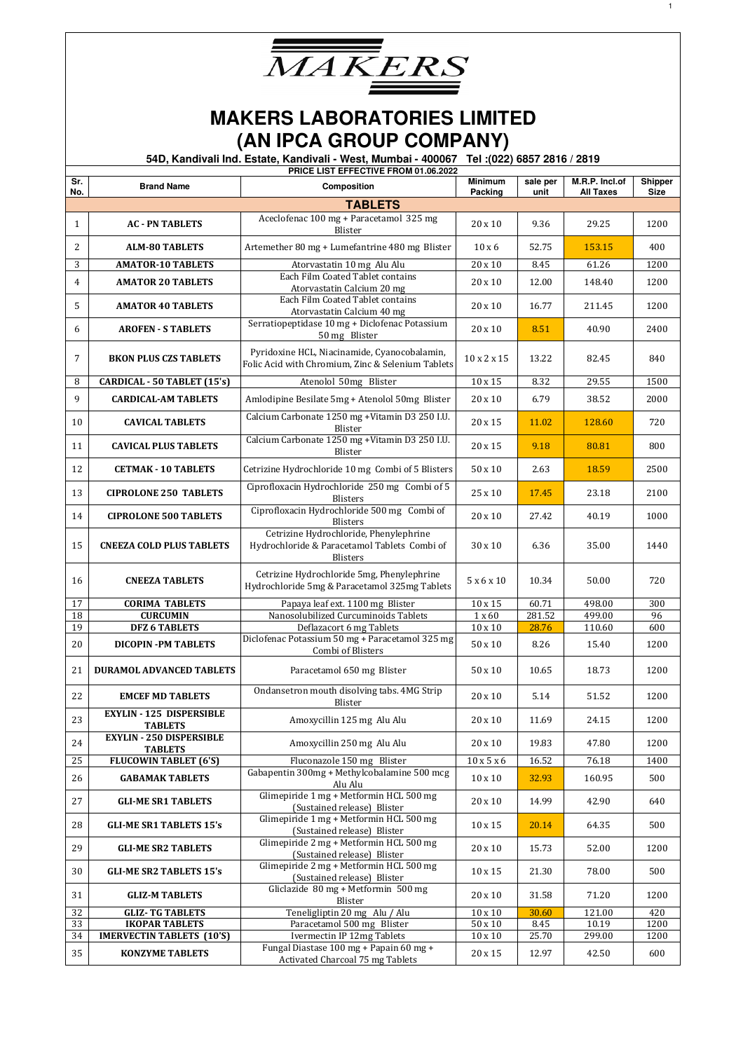

|            | PRICE LIST EFFECTIVE FROM 01.06.2022                      |                                                                                                           |                                |                  |                                    |                        |  |  |
|------------|-----------------------------------------------------------|-----------------------------------------------------------------------------------------------------------|--------------------------------|------------------|------------------------------------|------------------------|--|--|
| Sr.<br>No. | <b>Brand Name</b>                                         | Composition                                                                                               | <b>Minimum</b><br>Packing      | sale per<br>unit | M.R.P. Incl.of<br><b>All Taxes</b> | Shipper<br><b>Size</b> |  |  |
|            |                                                           | <b>TABLETS</b>                                                                                            |                                |                  |                                    |                        |  |  |
| 1          | <b>AC - PN TABLETS</b>                                    | Aceclofenac 100 mg + Paracetamol 325 mg<br>Blister                                                        | 20 x 10                        | 9.36             | 29.25                              | 1200                   |  |  |
| 2          | <b>ALM-80 TABLETS</b>                                     | Artemether 80 mg + Lumefantrine 480 mg Blister                                                            | $10 \times 6$                  | 52.75            | 153.15                             | 400                    |  |  |
| 3          | <b>AMATOR-10 TABLETS</b>                                  | Atorvastatin 10 mg Alu Alu                                                                                | 20 x 10                        | 8.45             | 61.26                              | 1200                   |  |  |
| 4          | <b>AMATOR 20 TABLETS</b>                                  | Each Film Coated Tablet contains<br>Atorvastatin Calcium 20 mg                                            | 20 x 10                        | 12.00            | 148.40                             | 1200                   |  |  |
| 5          | <b>AMATOR 40 TABLETS</b>                                  | Each Film Coated Tablet contains<br>Atorvastatin Calcium 40 mg                                            | 20 x 10                        | 16.77            | 211.45                             | 1200                   |  |  |
| 6          | <b>AROFEN - S TABLETS</b>                                 | Serratiopeptidase 10 mg + Diclofenac Potassium<br>50 mg Blister                                           | 20 x 10                        | 8.51             | 40.90                              | 2400                   |  |  |
| 7          | <b>BKON PLUS CZS TABLETS</b>                              | Pyridoxine HCL, Niacinamide, Cyanocobalamin,<br>Folic Acid with Chromium, Zinc & Selenium Tablets         | 10 x 2 x 15                    | 13.22            | 82.45                              | 840                    |  |  |
| 8          | CARDICAL - 50 TABLET (15's)                               | Atenolol 50mg Blister                                                                                     | 10 x 15                        | 8.32             | 29.55                              | 1500                   |  |  |
| 9          | <b>CARDICAL-AM TABLETS</b>                                | Amlodipine Besilate 5mg + Atenolol 50mg Blister                                                           | $20 \times 10$                 | 6.79             | 38.52                              | 2000                   |  |  |
| 10         | <b>CAVICAL TABLETS</b>                                    | Calcium Carbonate 1250 mg +Vitamin D3 250 I.U.<br>Blister                                                 | 20 x 15                        | 11.02            | 128.60                             | 720                    |  |  |
| 11         | <b>CAVICAL PLUS TABLETS</b>                               | Calcium Carbonate 1250 mg +Vitamin D3 250 I.U.<br>Blister                                                 | 20 x 15                        | 9.18             | 80.81                              | 800                    |  |  |
| 12         | <b>CETMAK - 10 TABLETS</b>                                | Cetrizine Hydrochloride 10 mg Combi of 5 Blisters                                                         | $50 \times 10$                 | 2.63             | 18.59                              | 2500                   |  |  |
| 13         | <b>CIPROLONE 250 TABLETS</b>                              | Ciprofloxacin Hydrochloride 250 mg Combi of 5<br>Blisters                                                 | 25 x 10                        | 17.45            | 23.18                              | 2100                   |  |  |
| 14         | <b>CIPROLONE 500 TABLETS</b>                              | Ciprofloxacin Hydrochloride 500 mg Combi of<br>Blisters                                                   | 20 x 10                        | 27.42            | 40.19                              | 1000                   |  |  |
| 15         | <b>CNEEZA COLD PLUS TABLETS</b>                           | Cetrizine Hydrochloride, Phenylephrine<br>Hydrochloride & Paracetamol Tablets Combi of<br><b>Blisters</b> | 30 x 10                        | 6.36             | 35.00                              | 1440                   |  |  |
| 16         | <b>CNEEZA TABLETS</b>                                     | Cetrizine Hydrochloride 5mg, Phenylephrine<br>Hydrochloride 5mg & Paracetamol 325mg Tablets               | 5x6x10                         | 10.34            | 50.00                              | 720                    |  |  |
| 17         | <b>CORIMA TABLETS</b>                                     | Papaya leaf ext. 1100 mg Blister                                                                          | 10 x 15                        | 60.71            | 498.00                             | 300                    |  |  |
| 18         | <b>CURCUMIN</b>                                           | Nanosolubilized Curcuminoids Tablets                                                                      | 1 x 60                         | 281.52           | 499.00                             | 96                     |  |  |
| 19         | <b>DFZ 6 TABLETS</b>                                      | Deflazacort 6 mg Tablets                                                                                  | $\overline{10}$ x $10$         | 28.76            | 110.60                             | 600                    |  |  |
| 20         | <b>DICOPIN-PM TABLETS</b>                                 | Diclofenac Potassium 50 mg + Paracetamol 325 mg<br>Combi of Blisters                                      | 50 x 10                        | 8.26             | 15.40                              | 1200                   |  |  |
| 21         | <b>DURAMOL ADVANCED TABLETS</b>                           | Paracetamol 650 mg Blister                                                                                | 50 x 10                        | 10.65            | 18.73                              | 1200                   |  |  |
| 22         | <b>EMCEF MD TABLETS</b>                                   | Ondansetron mouth disolving tabs. 4MG Strip<br>Blister                                                    | 20 x 10                        | 5.14             | 51.52                              | 1200                   |  |  |
| 23         | <b>EXYLIN - 125 DISPERSIBLE</b><br><b>TABLETS</b>         | Amoxycillin 125 mg Alu Alu                                                                                | 20 x 10                        | 11.69            | 24.15                              | 1200                   |  |  |
| 24         | <b>EXYLIN - 250 DISPERSIBLE</b><br><b>TABLETS</b>         | Amoxycillin 250 mg Alu Alu                                                                                | 20 x 10                        | 19.83            | 47.80                              | 1200                   |  |  |
| 25         | <b>FLUCOWIN TABLET (6'S)</b>                              | Fluconazole 150 mg Blister                                                                                | $10 \ge 5 \ge 6$               | 16.52            | 76.18                              | 1400                   |  |  |
| 26         | <b>GABAMAK TABLETS</b>                                    | Gabapentin 300mg + Methylcobalamine 500 mcg<br>Alu Alu                                                    | $10 \times 10$                 | 32.93            | 160.95                             | 500                    |  |  |
| 27         | <b>GLI-ME SR1 TABLETS</b>                                 | Glimepiride 1 mg + Metformin HCL 500 mg<br>(Sustained release) Blister                                    | 20 x 10                        | 14.99            | 42.90                              | 640                    |  |  |
| 28         | <b>GLI-ME SR1 TABLETS 15's</b>                            | Glimepiride 1 mg + Metformin HCL 500 mg<br>(Sustained release) Blister                                    | 10 x 15                        | 20.14            | 64.35                              | 500                    |  |  |
| 29         | <b>GLI-ME SR2 TABLETS</b>                                 | Glimepiride 2 mg + Metformin HCL 500 mg<br>(Sustained release) Blister                                    | 20 x 10                        | 15.73            | 52.00                              | 1200                   |  |  |
| 30         | <b>GLI-ME SR2 TABLETS 15's</b>                            | Glimepiride 2 mg + Metformin HCL 500 mg<br>(Sustained release) Blister                                    | $10 \times 15$                 | 21.30            | 78.00                              | 500                    |  |  |
| 31         | <b>GLIZ-M TABLETS</b>                                     | Gliclazide 80 mg + Metformin 500 mg<br>Blister                                                            | 20 x 10                        | 31.58            | 71.20                              | 1200                   |  |  |
| 32         | <b>GLIZ-TG TABLETS</b>                                    | Teneligliptin 20 mg Alu / Alu                                                                             | $10 \times 10$                 | 30.60            | 121.00                             | 420                    |  |  |
| 33<br>34   | <b>IKOPAR TABLETS</b><br><b>IMERVECTIN TABLETS (10'S)</b> | Paracetamol 500 mg Blister<br>Ivermectin IP 12mg Tablets                                                  | $50 \times 10$<br>$10\times10$ | 8.45<br>25.70    | 10.19<br>299.00                    | 1200<br>1200           |  |  |
|            |                                                           | Fungal Diastase 100 mg + Papain 60 mg +                                                                   |                                |                  |                                    |                        |  |  |
| 35         | <b>KONZYME TABLETS</b>                                    | Activated Charcoal 75 mg Tablets                                                                          | 20 x 15                        | 12.97            | 42.50                              | 600                    |  |  |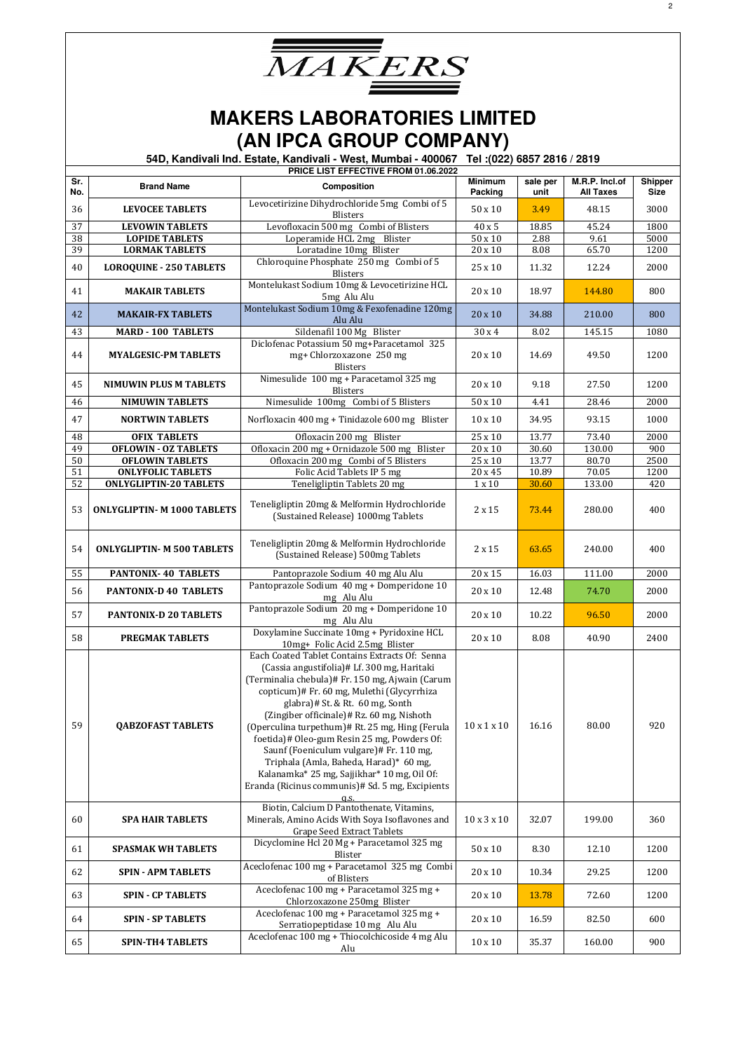| <i>MAKERS</i> |  |
|---------------|--|
|               |  |

|            |                                    | PRICE LIST EFFECTIVE FROM 01.06.2022                                                                                                                                                                                                                                                                                                                                                                                                                                                                                                                                            |                           |                  |                                    |                        |
|------------|------------------------------------|---------------------------------------------------------------------------------------------------------------------------------------------------------------------------------------------------------------------------------------------------------------------------------------------------------------------------------------------------------------------------------------------------------------------------------------------------------------------------------------------------------------------------------------------------------------------------------|---------------------------|------------------|------------------------------------|------------------------|
| Sr.<br>No. | <b>Brand Name</b>                  | <b>Composition</b>                                                                                                                                                                                                                                                                                                                                                                                                                                                                                                                                                              | <b>Minimum</b><br>Packing | sale per<br>unit | M.R.P. Incl.of<br><b>All Taxes</b> | Shipper<br><b>Size</b> |
| 36         | <b>LEVOCEE TABLETS</b>             | Levocetirizine Dihydrochloride 5mg Combi of 5<br><b>Blisters</b>                                                                                                                                                                                                                                                                                                                                                                                                                                                                                                                | 50 x 10                   | 3.49             | 48.15                              | 3000                   |
| 37         | <b>LEVOWIN TABLETS</b>             | Levofloxacin 500 mg Combi of Blisters                                                                                                                                                                                                                                                                                                                                                                                                                                                                                                                                           | 40 x 5                    | 18.85            | 45.24                              | 1800                   |
| 38         | <b>LOPIDE TABLETS</b>              | Loperamide HCL 2mg Blister                                                                                                                                                                                                                                                                                                                                                                                                                                                                                                                                                      | $50 \times 10$            | 2.88             | 9.61                               | 5000                   |
| 39         | <b>LORMAK TABLETS</b>              | Loratadine 10mg Blister                                                                                                                                                                                                                                                                                                                                                                                                                                                                                                                                                         | $20 \times 10$            | 8.08             | 65.70                              | 1200                   |
| 40         | <b>LOROQUINE - 250 TABLETS</b>     | Chloroquine Phosphate 250 mg Combi of 5<br>Blisters                                                                                                                                                                                                                                                                                                                                                                                                                                                                                                                             | 25 x 10                   | 11.32            | 12.24                              | 2000                   |
| 41         | <b>MAKAIR TABLETS</b>              | Montelukast Sodium 10mg & Levocetirizine HCL<br>5mg Alu Alu                                                                                                                                                                                                                                                                                                                                                                                                                                                                                                                     | 20 x 10                   | 18.97            | 144.80                             | 800                    |
| 42         | <b>MAKAIR-FX TABLETS</b>           | Montelukast Sodium 10mg & Fexofenadine 120mg                                                                                                                                                                                                                                                                                                                                                                                                                                                                                                                                    | 20 x 10                   | 34.88            | 210.00                             | 800                    |
| 43         | <b>MARD - 100 TABLETS</b>          | Alu Alu<br>Sildenafil 100 Mg Blister                                                                                                                                                                                                                                                                                                                                                                                                                                                                                                                                            | 30 x 4                    | 8.02             | 145.15                             | 1080                   |
| 44         | <b>MYALGESIC-PM TABLETS</b>        | Diclofenac Potassium 50 mg+Paracetamol 325<br>mg+ Chlorzoxazone 250 mg<br><b>Blisters</b>                                                                                                                                                                                                                                                                                                                                                                                                                                                                                       | 20 x 10                   | 14.69            | 49.50                              | 1200                   |
| 45         | <b>NIMUWIN PLUS M TABLETS</b>      | Nimesulide 100 mg + Paracetamol 325 mg<br><b>Blisters</b>                                                                                                                                                                                                                                                                                                                                                                                                                                                                                                                       | 20 x 10                   | 9.18             | 27.50                              | 1200                   |
| 46         | <b>NIMUWIN TABLETS</b>             | Nimesulide 100mg Combi of 5 Blisters                                                                                                                                                                                                                                                                                                                                                                                                                                                                                                                                            | $50 \times 10$            | 4.41             | 28.46                              | 2000                   |
| 47         | <b>NORTWIN TABLETS</b>             | Norfloxacin 400 mg + Tinidazole 600 mg Blister                                                                                                                                                                                                                                                                                                                                                                                                                                                                                                                                  | 10 x 10                   | 34.95            | 93.15                              | 1000                   |
| 48         | <b>OFIX TABLETS</b>                | Ofloxacin 200 mg Blister                                                                                                                                                                                                                                                                                                                                                                                                                                                                                                                                                        | 25x10                     | 13.77            | 73.40                              | 2000                   |
| 49         | <b>OFLOWIN - OZ TABLETS</b>        | Ofloxacin 200 mg + Ornidazole 500 mg Blister                                                                                                                                                                                                                                                                                                                                                                                                                                                                                                                                    | 20 x 10                   | 30.60            | 130.00                             | 900                    |
| 50         | <b>OFLOWIN TABLETS</b>             | Ofloxacin 200 mg Combi of 5 Blisters                                                                                                                                                                                                                                                                                                                                                                                                                                                                                                                                            | $25 \times 10$            | 13.77            | 80.70                              | 2500                   |
| 51         | <b>ONLYFOLIC TABLETS</b>           | Folic Acid Tablets IP 5 mg                                                                                                                                                                                                                                                                                                                                                                                                                                                                                                                                                      | 20 x 45                   | 10.89            | 70.05                              | 1200                   |
|            |                                    |                                                                                                                                                                                                                                                                                                                                                                                                                                                                                                                                                                                 |                           |                  |                                    |                        |
| 52         | <b>ONLYGLIPTIN-20 TABLETS</b>      | Teneligliptin Tablets 20 mg                                                                                                                                                                                                                                                                                                                                                                                                                                                                                                                                                     | $1 \times 10$             | 30.60            | 133.00                             | 420                    |
| 53         | <b>ONLYGLIPTIN- M 1000 TABLETS</b> | Teneligliptin 20mg & Melformin Hydrochloride<br>(Sustained Release) 1000mg Tablets                                                                                                                                                                                                                                                                                                                                                                                                                                                                                              | $2 \times 15$             | 73.44            | 280.00                             | 400                    |
| 54         | <b>ONLYGLIPTIN- M 500 TABLETS</b>  | Teneligliptin 20mg & Melformin Hydrochloride<br>(Sustained Release) 500mg Tablets                                                                                                                                                                                                                                                                                                                                                                                                                                                                                               | $2 \times 15$             | 63.65            | 240.00                             | 400                    |
| 55         | <b>PANTONIX-40 TABLETS</b>         | Pantoprazole Sodium 40 mg Alu Alu                                                                                                                                                                                                                                                                                                                                                                                                                                                                                                                                               | 20 x 15                   | 16.03            | 111.00                             | 2000                   |
| 56         | PANTONIX-D 40 TABLETS              | Pantoprazole Sodium 40 mg + Domperidone 10<br>mg Alu Alu                                                                                                                                                                                                                                                                                                                                                                                                                                                                                                                        | 20 x 10                   | 12.48            | 74.70                              | 2000                   |
| 57         | PANTONIX-D 20 TABLETS              | Pantoprazole Sodium 20 mg + Domperidone 10<br>mg Alu Alu                                                                                                                                                                                                                                                                                                                                                                                                                                                                                                                        | 20 x 10                   | 10.22            | 96.50                              | 2000                   |
| 58         | PREGMAK TABLETS                    | Doxylamine Succinate 10mg + Pyridoxine HCL<br>10mg+ Folic Acid 2.5mg Blister                                                                                                                                                                                                                                                                                                                                                                                                                                                                                                    | 20 x 10                   | 8.08             | 40.90                              | 2400                   |
| 59         | <b>OABZOFAST TABLETS</b>           | Each Coated Tablet Contains Extracts Of: Senna<br>(Cassia angustifolia)# Lf. 300 mg, Haritaki<br>(Terminalia chebula)# Fr. 150 mg, Ajwain (Carum<br>copticum)# Fr. 60 mg, Mulethi (Glycyrrhiza<br>glabra)# St. & Rt. 60 mg, Sonth<br>(Zingiber officinale)# Rz. 60 mg, Nishoth<br>(Operculina turpethum)# Rt. 25 mg, Hing (Ferula<br>foetida)# Oleo-gum Resin 25 mg, Powders Of:<br>Saunf (Foeniculum vulgare)# Fr. 110 mg,<br>Triphala (Amla, Baheda, Harad)* 60 mg,<br>Kalanamka* 25 mg, Sajjikhar* 10 mg, Oil Of:<br>Eranda (Ricinus communis)# Sd. 5 mg, Excipients<br>q.s. | $10 \times 1 \times 10$   | 16.16            | 80.00                              | 920                    |
| 60         | <b>SPA HAIR TABLETS</b>            | Biotin, Calcium D Pantothenate, Vitamins,<br>Minerals, Amino Acids With Soya Isoflavones and<br>Grape Seed Extract Tablets                                                                                                                                                                                                                                                                                                                                                                                                                                                      | $10 \times 3 \times 10$   | 32.07            | 199.00                             | 360                    |
| 61         | <b>SPASMAK WH TABLETS</b>          | Dicyclomine Hcl 20 Mg + Paracetamol 325 mg<br>Blister                                                                                                                                                                                                                                                                                                                                                                                                                                                                                                                           | $50 \times 10$            | 8.30             | 12.10                              | 1200                   |
| 62         | <b>SPIN - APM TABLETS</b>          | Aceclofenac 100 mg + Paracetamol 325 mg Combi<br>of Blisters                                                                                                                                                                                                                                                                                                                                                                                                                                                                                                                    | 20 x 10                   | 10.34            | 29.25                              | 1200                   |
| 63         | <b>SPIN - CP TABLETS</b>           | Aceclofenac 100 mg + Paracetamol 325 mg +<br>Chlorzoxazone 250mg Blister                                                                                                                                                                                                                                                                                                                                                                                                                                                                                                        | 20 x 10                   | 13.78            | 72.60                              | 1200                   |
| 64         | <b>SPIN - SP TABLETS</b>           | Aceclofenac 100 mg + Paracetamol 325 mg +<br>Serratiopeptidase 10 mg Alu Alu                                                                                                                                                                                                                                                                                                                                                                                                                                                                                                    | 20 x 10                   | 16.59            | 82.50                              | 600                    |
| 65         | <b>SPIN-TH4 TABLETS</b>            | Aceclofenac 100 mg + Thiocolchicoside 4 mg Alu<br>Alu                                                                                                                                                                                                                                                                                                                                                                                                                                                                                                                           | $10 \times 10$            | 35.37            | 160.00                             | 900                    |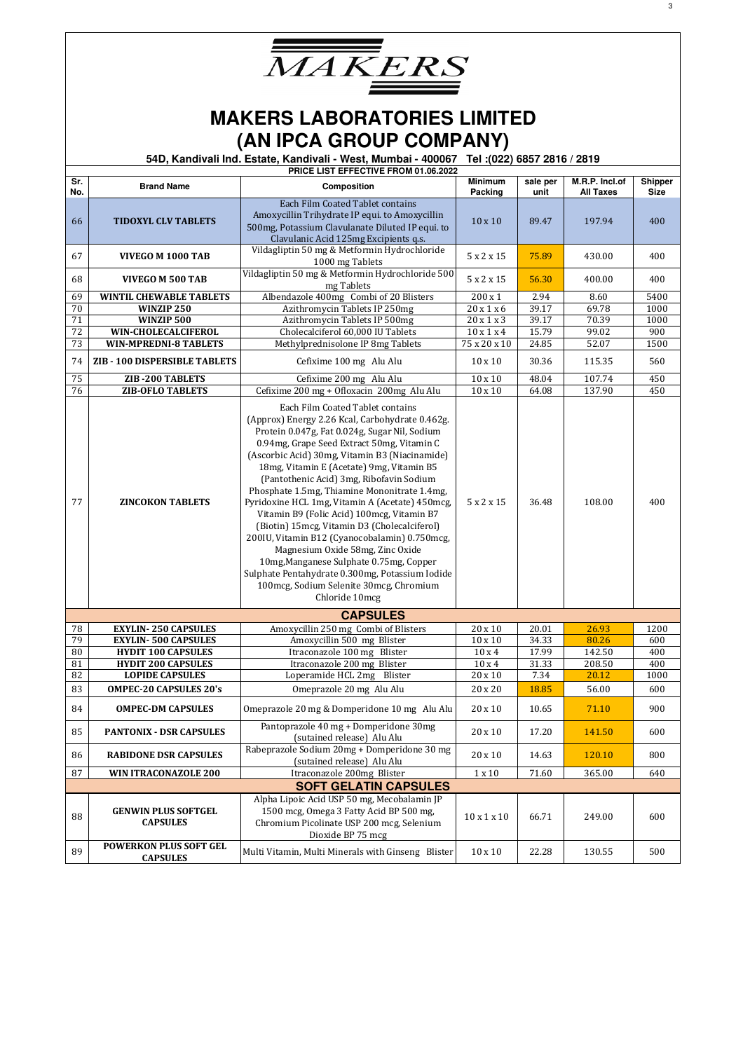

|                              | PRICE LIST EFFECTIVE FROM 01.06.2022             |                                                                                                                                                                                                                                                                                                                                                                                                                                                                                                                                                                                                                                                                                                                                                                                |                           |                  |                                    |                        |  |
|------------------------------|--------------------------------------------------|--------------------------------------------------------------------------------------------------------------------------------------------------------------------------------------------------------------------------------------------------------------------------------------------------------------------------------------------------------------------------------------------------------------------------------------------------------------------------------------------------------------------------------------------------------------------------------------------------------------------------------------------------------------------------------------------------------------------------------------------------------------------------------|---------------------------|------------------|------------------------------------|------------------------|--|
| Sr.<br>No.                   | <b>Brand Name</b>                                | Composition                                                                                                                                                                                                                                                                                                                                                                                                                                                                                                                                                                                                                                                                                                                                                                    | <b>Minimum</b><br>Packing | sale per<br>unit | M.R.P. Incl.of<br><b>All Taxes</b> | Shipper<br><b>Size</b> |  |
| 66                           | <b>TIDOXYL CLV TABLETS</b>                       | Each Film Coated Tablet contains<br>Amoxycillin Trihydrate IP equi. to Amoxycillin<br>500mg, Potassium Clavulanate Diluted IP equi. to<br>Clavulanic Acid 125mg Excipients q.s.                                                                                                                                                                                                                                                                                                                                                                                                                                                                                                                                                                                                | $10 \times 10$            | 89.47            | 197.94                             | 400                    |  |
| 67                           | VIVEGO M 1000 TAB                                | Vildagliptin 50 mg & Metformin Hydrochloride<br>1000 mg Tablets                                                                                                                                                                                                                                                                                                                                                                                                                                                                                                                                                                                                                                                                                                                | 5 x 2 x 15                | 75.89            | 430.00                             | 400                    |  |
| 68                           | VIVEGO M 500 TAB                                 | Vildagliptin 50 mg & Metformin Hydrochloride 500<br>mg Tablets                                                                                                                                                                                                                                                                                                                                                                                                                                                                                                                                                                                                                                                                                                                 | 5 x 2 x 15                | 56.30            | 400.00                             | 400                    |  |
| 69                           | <b>WINTIL CHEWABLE TABLETS</b>                   | Albendazole 400mg Combi of 20 Blisters                                                                                                                                                                                                                                                                                                                                                                                                                                                                                                                                                                                                                                                                                                                                         | $200 \times 1$            | 2.94             | 8.60                               | 5400                   |  |
| 70                           | WINZIP 250                                       | Azithromycin Tablets IP 250mg                                                                                                                                                                                                                                                                                                                                                                                                                                                                                                                                                                                                                                                                                                                                                  | 20x1x6                    | 39.17            | 69.78                              | 1000                   |  |
| 71                           | WINZIP 500                                       | Azithromycin Tablets IP 500mg                                                                                                                                                                                                                                                                                                                                                                                                                                                                                                                                                                                                                                                                                                                                                  | 20x1x3                    | 39.17            | 70.39                              | 1000                   |  |
| 72                           | WIN-CHOLECALCIFEROL                              | Cholecalciferol 60,000 IU Tablets                                                                                                                                                                                                                                                                                                                                                                                                                                                                                                                                                                                                                                                                                                                                              | $10 \times 1 \times 4$    | 15.79            | 99.02                              | 900                    |  |
| 73                           | <b>WIN-MPREDNI-8 TABLETS</b>                     | Methylprednisolone IP 8mg Tablets                                                                                                                                                                                                                                                                                                                                                                                                                                                                                                                                                                                                                                                                                                                                              | 75 x 20 x 10              | 24.85            | 52.07                              | 1500                   |  |
| 74                           | ZIB - 100 DISPERSIBLE TABLETS                    | Cefixime 100 mg Alu Alu                                                                                                                                                                                                                                                                                                                                                                                                                                                                                                                                                                                                                                                                                                                                                        | $10 \times 10$            | 30.36            | 115.35                             | 560                    |  |
| 75                           | ZIB-200 TABLETS                                  | Cefixime 200 mg Alu Alu                                                                                                                                                                                                                                                                                                                                                                                                                                                                                                                                                                                                                                                                                                                                                        | $10 \times 10$            | 48.04            | 107.74                             | 450                    |  |
| 76                           | <b>ZIB-OFLO TABLETS</b>                          | Cefixime 200 mg + Ofloxacin 200mg Alu Alu                                                                                                                                                                                                                                                                                                                                                                                                                                                                                                                                                                                                                                                                                                                                      | $10 \times 10$            | 64.08            | 137.90                             | 450                    |  |
| 77                           | <b>ZINCOKON TABLETS</b>                          | Each Film Coated Tablet contains<br>(Approx) Energy 2.26 Kcal, Carbohydrate 0.462g.<br>Protein 0.047g, Fat 0.024g, Sugar Nil, Sodium<br>0.94mg, Grape Seed Extract 50mg, Vitamin C<br>(Ascorbic Acid) 30mg, Vitamin B3 (Niacinamide)<br>18mg, Vitamin E (Acetate) 9mg, Vitamin B5<br>(Pantothenic Acid) 3mg, Ribofavin Sodium<br>Phosphate 1.5mg, Thiamine Mononitrate 1.4mg,<br>Pyridoxine HCL 1mg, Vitamin A (Acetate) 450mcg,<br>Vitamin B9 (Folic Acid) 100mcg, Vitamin B7<br>(Biotin) 15mcg, Vitamin D3 (Cholecalciferol)<br>200IU, Vitamin B12 (Cyanocobalamin) 0.750mcg,<br>Magnesium Oxide 58mg, Zinc Oxide<br>10mg, Manganese Sulphate 0.75mg, Copper<br>Sulphate Pentahydrate 0.300mg, Potassium Iodide<br>100mcg, Sodium Selenite 30mcg, Chromium<br>Chloride 10mcg | 5 x 2 x 15                | 36.48            | 108.00                             | 400                    |  |
|                              |                                                  | <b>CAPSULES</b>                                                                                                                                                                                                                                                                                                                                                                                                                                                                                                                                                                                                                                                                                                                                                                |                           |                  |                                    |                        |  |
| 78                           | <b>EXYLIN-250 CAPSULES</b>                       | Amoxycillin 250 mg Combi of Blisters                                                                                                                                                                                                                                                                                                                                                                                                                                                                                                                                                                                                                                                                                                                                           | 20 x 10                   | 20.01            | 26.93                              | 1200                   |  |
| 79                           | <b>EXYLIN-500 CAPSULES</b>                       | Amoxycillin 500 mg Blister                                                                                                                                                                                                                                                                                                                                                                                                                                                                                                                                                                                                                                                                                                                                                     | $10 \times 10$            | 34.33            | 80.26                              | 600                    |  |
| 80                           | <b>HYDIT 100 CAPSULES</b>                        | Itraconazole 100 mg Blister                                                                                                                                                                                                                                                                                                                                                                                                                                                                                                                                                                                                                                                                                                                                                    | 10x4                      | 17.99            | 142.50                             | 400                    |  |
| 81                           | <b>HYDIT 200 CAPSULES</b>                        | Itraconazole 200 mg Blister                                                                                                                                                                                                                                                                                                                                                                                                                                                                                                                                                                                                                                                                                                                                                    | 10x4                      | 31.33            | 208.50                             | 400                    |  |
| 82                           | <b>LOPIDE CAPSULES</b>                           | Loperamide HCL 2mg Blister                                                                                                                                                                                                                                                                                                                                                                                                                                                                                                                                                                                                                                                                                                                                                     | 20 x 10                   | 7.34             | 20.12                              | 1000                   |  |
| 83                           | <b>OMPEC-20 CAPSULES 20's</b>                    | Omeprazole 20 mg Alu Alu                                                                                                                                                                                                                                                                                                                                                                                                                                                                                                                                                                                                                                                                                                                                                       | 20 x 20                   | 18.85            | 56.00                              | 600                    |  |
| 84                           | <b>OMPEC-DM CAPSULES</b>                         | Omeprazole 20 mg & Domperidone 10 mg Alu Alu                                                                                                                                                                                                                                                                                                                                                                                                                                                                                                                                                                                                                                                                                                                                   | 20 x 10                   | 10.65            | 71.10                              | 900                    |  |
| 85                           | <b>PANTONIX - DSR CAPSULES</b>                   | Pantoprazole 40 mg + Domperidone 30mg<br>(sutained release) Alu Alu                                                                                                                                                                                                                                                                                                                                                                                                                                                                                                                                                                                                                                                                                                            | 20 x 10                   | 17.20            | 141.50                             | 600                    |  |
| 86                           | <b>RABIDONE DSR CAPSULES</b>                     | Rabeprazole Sodium 20mg + Domperidone 30 mg<br>(sutained release) Alu Alu                                                                                                                                                                                                                                                                                                                                                                                                                                                                                                                                                                                                                                                                                                      | 20 x 10                   | 14.63            | 120.10                             | 800                    |  |
| 87                           | <b>WIN ITRACONAZOLE 200</b>                      | Itraconazole 200mg Blister                                                                                                                                                                                                                                                                                                                                                                                                                                                                                                                                                                                                                                                                                                                                                     | $1 \times 10$             | 71.60            | 365.00                             | 640                    |  |
| <b>SOFT GELATIN CAPSULES</b> |                                                  |                                                                                                                                                                                                                                                                                                                                                                                                                                                                                                                                                                                                                                                                                                                                                                                |                           |                  |                                    |                        |  |
| 88                           | <b>GENWIN PLUS SOFTGEL</b><br><b>CAPSULES</b>    | Alpha Lipoic Acid USP 50 mg, Mecobalamin JP<br>1500 mcg, Omega 3 Fatty Acid BP 500 mg,<br>Chromium Picolinate USP 200 mcg, Selenium<br>Dioxide BP 75 mcg                                                                                                                                                                                                                                                                                                                                                                                                                                                                                                                                                                                                                       | $10 \times 1 \times 10$   | 66.71            | 249.00                             | 600                    |  |
| 89                           | <b>POWERKON PLUS SOFT GEL</b><br><b>CAPSULES</b> | Multi Vitamin, Multi Minerals with Ginseng Blister                                                                                                                                                                                                                                                                                                                                                                                                                                                                                                                                                                                                                                                                                                                             | $10 \times 10$            | 22.28            | 130.55                             | 500                    |  |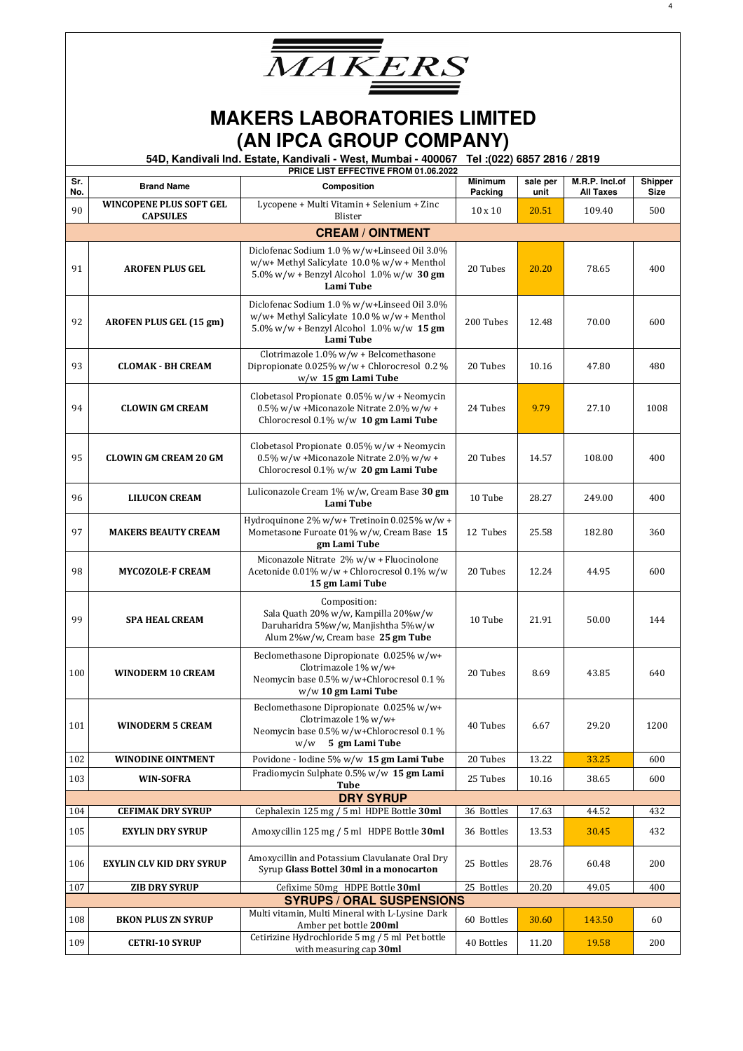

|            |                                                   | PRICE LIST EFFECTIVE FROM 01.06.2022                                                                                                                         | <b>Minimum</b> |                  |                                    |                        |
|------------|---------------------------------------------------|--------------------------------------------------------------------------------------------------------------------------------------------------------------|----------------|------------------|------------------------------------|------------------------|
| Sr.<br>No. | <b>Brand Name</b>                                 | Composition                                                                                                                                                  | Packing        | sale per<br>unit | M.R.P. Incl.of<br><b>All Taxes</b> | Shipper<br><b>Size</b> |
| 90         | <b>WINCOPENE PLUS SOFT GEL</b><br><b>CAPSULES</b> | Lycopene + Multi Vitamin + Selenium + Zinc<br>Blister                                                                                                        | $10 \times 10$ | 20.51            | 109.40                             | 500                    |
|            |                                                   | <b>CREAM / OINTMENT</b>                                                                                                                                      |                |                  |                                    |                        |
| 91         | <b>AROFEN PLUS GEL</b>                            | Diclofenac Sodium 1.0 % w/w+Linseed Oil 3.0%<br>$w/w +$ Methyl Salicylate 10.0 % $w/w +$ Menthol<br>5.0% w/w + Benzyl Alcohol $1.0\%$ w/w 30 gm<br>Lami Tube | 20 Tubes       | 20.20            | 78.65                              | 400                    |
| 92         | AROFEN PLUS GEL (15 gm)                           | Diclofenac Sodium 1.0 % w/w+Linseed Oil 3.0%<br>w/w+ Methyl Salicylate 10.0 % w/w + Menthol<br>5.0% w/w + Benzyl Alcohol $1.0\%$ w/w 15 gm<br>Lami Tube      | 200 Tubes      | 12.48            | 70.00                              | 600                    |
| 93         | <b>CLOMAK - BH CREAM</b>                          | Clotrimazole 1.0% w/w + Belcomethasone<br>Dipropionate 0.025% w/w + Chlorocresol 0.2 %<br>w/w 15 gm Lami Tube                                                | 20 Tubes       | 10.16            | 47.80                              | 480                    |
| 94         | <b>CLOWIN GM CREAM</b>                            | Clobetasol Propionate 0.05% w/w + Neomycin<br>0.5% w/w +Miconazole Nitrate 2.0% w/w +<br>Chlorocresol 0.1% w/w 10 gm Lami Tube                               | 24 Tubes       | 9.79             | 27.10                              | 1008                   |
| 95         | <b>CLOWIN GM CREAM 20 GM</b>                      | Clobetasol Propionate 0.05% w/w + Neomycin<br>0.5% w/w +Miconazole Nitrate 2.0% w/w +<br>Chlorocresol 0.1% w/w 20 gm Lami Tube                               | 20 Tubes       | 14.57            | 108.00                             | 400                    |
| 96         | <b>LILUCON CREAM</b>                              | Luliconazole Cream 1% w/w, Cream Base 30 gm<br>Lami Tube                                                                                                     | 10 Tube        | 28.27            | 249.00                             | 400                    |
| 97         | <b>MAKERS BEAUTY CREAM</b>                        | Hydroquinone 2% w/w+ Tretinoin 0.025% w/w +<br>Mometasone Furoate 01% w/w, Cream Base 15<br>gm Lami Tube                                                     | 12 Tubes       | 25.58            | 182.80                             | 360                    |
| 98         | <b>MYCOZOLE-F CREAM</b>                           | Miconazole Nitrate 2% w/w + Fluocinolone<br>Acetonide 0.01% w/w + Chlorocresol 0.1% w/w<br>15 gm Lami Tube                                                   | 20 Tubes       | 12.24            | 44.95                              | 600                    |
| 99         | <b>SPA HEAL CREAM</b>                             | Composition:<br>Sala Quath 20% w/w, Kampilla 20%w/w<br>Daruharidra 5%w/w, Manjishtha 5%w/w<br>Alum 2%w/w, Cream base 25 gm Tube                              | 10 Tube        | 21.91            | 50.00                              | 144                    |
| 100        | <b>WINODERM 10 CREAM</b>                          | Beclomethasone Dipropionate 0.025% w/w+<br>Clotrimazole 1% w/w+<br>Neomycin base 0.5% w/w+Chlorocresol 0.1 %<br>w/w 10 gm Lami Tube                          | 20 Tubes       | 8.69             | 43.85                              | 640                    |
| 101        | <b>WINODERM 5 CREAM</b>                           | Beclomethasone Dipropionate 0.025% w/w+<br>Clotrimazole 1% w/w+<br>Neomycin base 0.5% w/w+Chlorocresol 0.1 %<br>5 gm Lami Tube<br>w/w                        | 40 Tubes       | 6.67             | 29.20                              | 1200                   |
| 102        | <b>WINODINE OINTMENT</b>                          | Povidone - Iodine 5% w/w 15 gm Lami Tube                                                                                                                     | 20 Tubes       | 13.22            | 33.25                              | 600                    |
| 103        | <b>WIN-SOFRA</b>                                  | Fradiomycin Sulphate 0.5% w/w 15 gm Lami<br>Tube                                                                                                             | 25 Tubes       | 10.16            | 38.65                              | 600                    |
|            |                                                   | <b>DRY SYRUP</b>                                                                                                                                             |                |                  |                                    |                        |
| 104        | <b>CEFIMAK DRY SYRUP</b>                          | Cephalexin 125 mg / 5 ml HDPE Bottle 30ml                                                                                                                    | 36 Bottles     | 17.63            | 44.52                              | 432                    |
| 105        | <b>EXYLIN DRY SYRUP</b>                           | Amoxycillin 125 mg / 5 ml HDPE Bottle 30ml                                                                                                                   | 36 Bottles     | 13.53            | 30.45                              | 432                    |
| 106        | <b>EXYLIN CLV KID DRY SYRUP</b>                   | Amoxycillin and Potassium Clavulanate Oral Dry<br>Syrup Glass Bottel 30ml in a monocarton                                                                    | 25 Bottles     | 28.76            | 60.48                              | 200                    |
| 107        | <b>ZIB DRY SYRUP</b>                              | Cefixime 50mg HDPE Bottle 30ml                                                                                                                               | 25 Bottles     | 20.20            | 49.05                              | 400                    |
|            |                                                   | <b>SYRUPS / ORAL SUSPENSIONS</b>                                                                                                                             |                |                  |                                    |                        |
| 108        | <b>BKON PLUS ZN SYRUP</b>                         | Multi vitamin, Multi Mineral with L-Lysine Dark<br>Amber pet bottle 200ml                                                                                    | 60 Bottles     | 30.60            | 143.50                             | 60                     |
| 109        | <b>CETRI-10 SYRUP</b>                             | Cetirizine Hydrochloride 5 mg / 5 ml Pet bottle<br>with measuring cap 30ml                                                                                   | 40 Bottles     | 11.20            | 19.58                              | 200                    |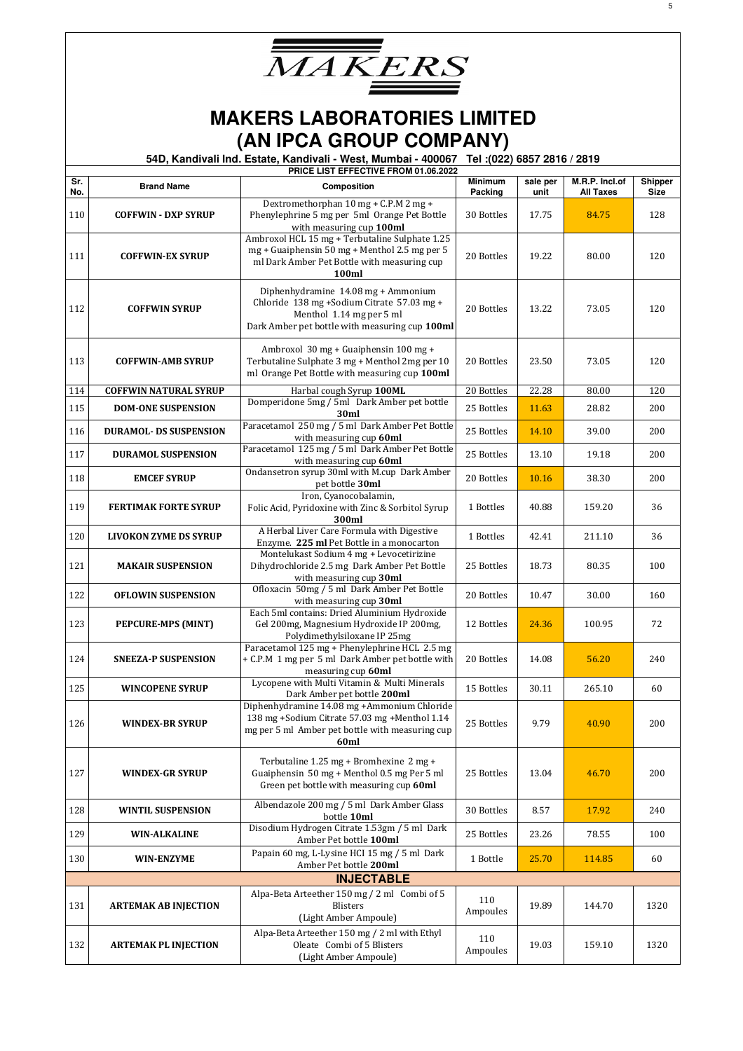

|            |                               | <b>PRICE LIST EFFECTIVE FROM 01.06.2022</b>                                                                                                                     |                           |                  |                                    |                 |
|------------|-------------------------------|-----------------------------------------------------------------------------------------------------------------------------------------------------------------|---------------------------|------------------|------------------------------------|-----------------|
| Sr.<br>No. | <b>Brand Name</b>             | Composition                                                                                                                                                     | <b>Minimum</b><br>Packing | sale per<br>unit | M.R.P. Incl.of<br><b>All Taxes</b> | Shipper<br>Size |
| 110        | <b>COFFWIN - DXP SYRUP</b>    | Dextromethorphan 10 mg + C.P.M 2 mg +<br>Phenylephrine 5 mg per 5ml Orange Pet Bottle<br>with measuring cup 100ml                                               | 30 Bottles                | 17.75            | 84.75                              | 128             |
| 111        | <b>COFFWIN-EX SYRUP</b>       | Ambroxol HCL 15 mg + Terbutaline Sulphate 1.25<br>mg + Guaiphensin 50 mg + Menthol 2.5 mg per 5<br>ml Dark Amber Pet Bottle with measuring cup<br>100ml         | 20 Bottles                | 19.22            | 80.00                              | 120             |
| 112        | <b>COFFWIN SYRUP</b>          | Diphenhydramine 14.08 mg + Ammonium<br>Chloride 138 mg +Sodium Citrate 57.03 mg +<br>Menthol 1.14 mg per 5 ml<br>Dark Amber pet bottle with measuring cup 100ml | 20 Bottles                | 13.22            | 73.05                              | 120             |
| 113        | <b>COFFWIN-AMB SYRUP</b>      | Ambroxol 30 mg + Guaiphensin 100 mg +<br>Terbutaline Sulphate 3 mg + Menthol 2mg per 10<br>ml Orange Pet Bottle with measuring cup 100ml                        | 20 Bottles                | 23.50            | 73.05                              | 120             |
| 114        | <b>COFFWIN NATURAL SYRUP</b>  | Harbal cough Syrup 100ML                                                                                                                                        | 20 Bottles                | 22.28            | 80.00                              | 120             |
| 115        | <b>DOM-ONE SUSPENSION</b>     | Domperidone 5mg / 5ml Dark Amber pet bottle<br>30ml                                                                                                             | 25 Bottles                | 11.63            | 28.82                              | 200             |
| 116        | <b>DURAMOL- DS SUSPENSION</b> | Paracetamol 250 mg / 5 ml Dark Amber Pet Bottle<br>with measuring cup 60ml                                                                                      | 25 Bottles                | 14.10            | 39.00                              | 200             |
| 117        | <b>DURAMOL SUSPENSION</b>     | Paracetamol 125 mg / 5 ml Dark Amber Pet Bottle<br>with measuring cup 60ml                                                                                      | 25 Bottles                | 13.10            | 19.18                              | 200             |
| 118        | <b>EMCEF SYRUP</b>            | Ondansetron syrup 30ml with M.cup Dark Amber<br>pet bottle 30ml                                                                                                 | 20 Bottles                | 10.16            | 38.30                              | 200             |
| 119        | <b>FERTIMAK FORTE SYRUP</b>   | Iron, Cyanocobalamin,<br>Folic Acid, Pyridoxine with Zinc & Sorbitol Syrup<br>300ml                                                                             | 1 Bottles                 | 40.88            | 159.20                             | 36              |
| 120        | <b>LIVOKON ZYME DS SYRUP</b>  | A Herbal Liver Care Formula with Digestive<br>Enzyme. 225 ml Pet Bottle in a monocarton                                                                         | 1 Bottles                 | 42.41            | 211.10                             | 36              |
| 121        | <b>MAKAIR SUSPENSION</b>      | Montelukast Sodium 4 mg + Levocetirizine<br>Dihydrochloride 2.5 mg Dark Amber Pet Bottle<br>with measuring cup 30ml                                             | 25 Bottles                | 18.73            | 80.35                              | 100             |
| 122        | <b>OFLOWIN SUSPENSION</b>     | Ofloxacin 50mg / 5 ml Dark Amber Pet Bottle<br>with measuring cup 30ml                                                                                          | 20 Bottles                | 10.47            | 30.00                              | 160             |
| 123        | <b>PEPCURE-MPS (MINT)</b>     | Each 5ml contains: Dried Aluminium Hydroxide<br>Gel 200mg, Magnesium Hydroxide IP 200mg,<br>Polydimethylsiloxane IP 25mg                                        | 12 Bottles                | 24.36            | 100.95                             | 72              |
| 124        | <b>SNEEZA-P SUSPENSION</b>    | Paracetamol 125 mg + Phenylephrine HCL 2.5 mg<br>+ C.P.M 1 mg per 5 ml Dark Amber pet bottle with<br>measuring cup_60ml                                         | 20 Bottles                | 14.08            | 56.20                              | 240             |
| 125        | <b>WINCOPENE SYRUP</b>        | Lycopene with Multi Vitamin & Multi Minerals<br>Dark Amber pet bottle 200ml                                                                                     | 15 Bottles                | 30.11            | 265.10                             | 60              |
| 126        | <b>WINDEX-BR SYRUP</b>        | Diphenhydramine 14.08 mg +Ammonium Chloride<br>138 mg +Sodium Citrate 57.03 mg +Menthol 1.14<br>mg per 5 ml Amber pet bottle with measuring cup<br>60ml         | 25 Bottles                | 9.79             | 40.90                              | 200             |
| 127        | <b>WINDEX-GR SYRUP</b>        | Terbutaline 1.25 mg + Bromhexine 2 mg +<br>Guaiphensin 50 mg + Menthol 0.5 mg Per 5 ml<br>Green pet bottle with measuring cup 60ml                              | 25 Bottles                | 13.04            | 46.70                              | 200             |
| 128        | <b>WINTIL SUSPENSION</b>      | Albendazole 200 mg / 5 ml Dark Amber Glass<br>bottle 10ml                                                                                                       | 30 Bottles                | 8.57             | 17.92                              | 240             |
| 129        | <b>WIN-ALKALINE</b>           | Disodium Hydrogen Citrate 1.53gm / 5 ml Dark<br>Amber Pet bottle 100ml                                                                                          | 25 Bottles                | 23.26            | 78.55                              | 100             |
| 130        | <b>WIN-ENZYME</b>             | Papain 60 mg, L-Lysine HCI 15 mg / 5 ml Dark<br>Amber Pet bottle 200ml                                                                                          | 1 Bottle                  | 25.70            | 114.85                             | 60              |
|            |                               | <b>INJECTABLE</b>                                                                                                                                               |                           |                  |                                    |                 |
| 131        | <b>ARTEMAK AB INJECTION</b>   | Alpa-Beta Arteether 150 mg / 2 ml Combi of 5<br><b>Blisters</b><br>(Light Amber Ampoule)                                                                        | 110<br>Ampoules           | 19.89            | 144.70                             | 1320            |
| 132        | <b>ARTEMAK PL INJECTION</b>   | Alpa-Beta Arteether 150 mg / 2 ml with Ethyl<br>Oleate Combi of 5 Blisters<br>(Light Amber Ampoule)                                                             | 110<br>Ampoules           | 19.03            | 159.10                             | 1320            |